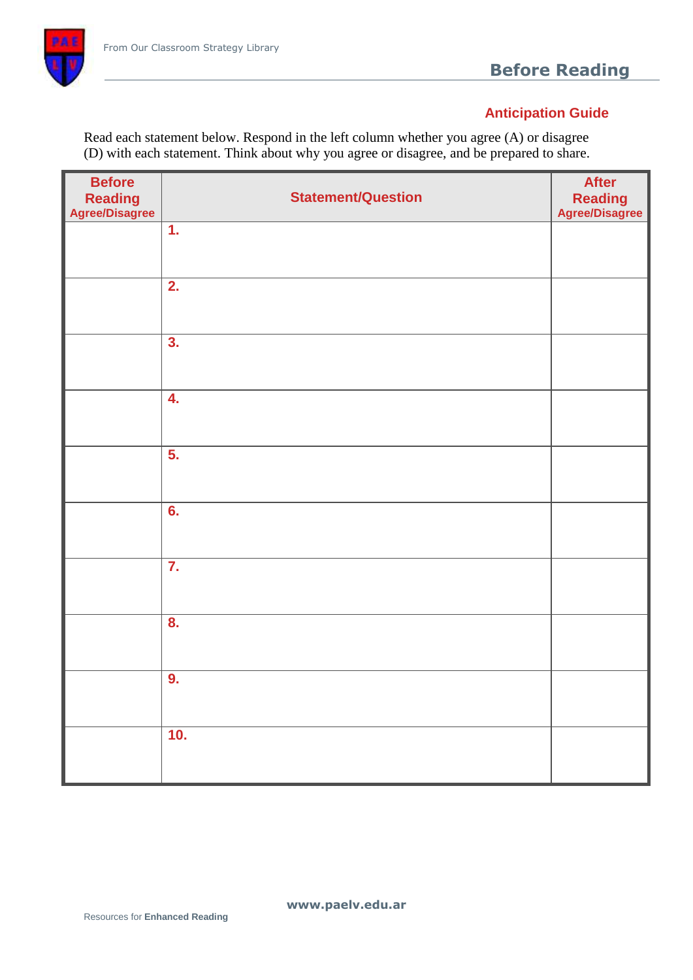

# **Before Reading**

# **Anticipation Guide**

Read each statement below. Respond in the left column whether you agree (A) or disagree (D) with each statement. Think about why you agree or disagree, and be prepared to share.

| <b>Before</b><br>Reading<br>Agree/Disagree | <b>Statement/Question</b> | <b>After</b><br>Reading<br>Agree/Disagree |
|--------------------------------------------|---------------------------|-------------------------------------------|
|                                            | $\overline{1}$ .          |                                           |
|                                            | 2.                        |                                           |
|                                            | 3.                        |                                           |
|                                            | 4.                        |                                           |
|                                            | 5.                        |                                           |
|                                            | 6.                        |                                           |
|                                            | $\overline{7}$ .          |                                           |
|                                            | 8.                        |                                           |
|                                            | 9.                        |                                           |
|                                            | 10.                       |                                           |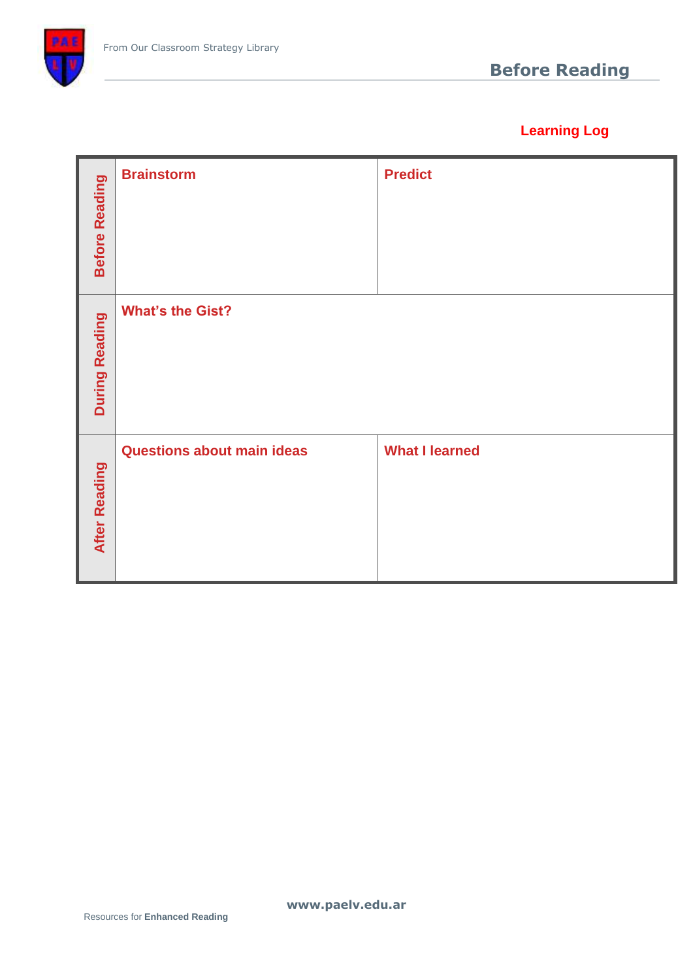

# **Learning Log**

| <b>Before Reading</b> | <b>Brainstorm</b>                 | <b>Predict</b>        |
|-----------------------|-----------------------------------|-----------------------|
| During Reading        | <b>What's the Gist?</b>           |                       |
| <b>After Reading</b>  | <b>Questions about main ideas</b> | <b>What I learned</b> |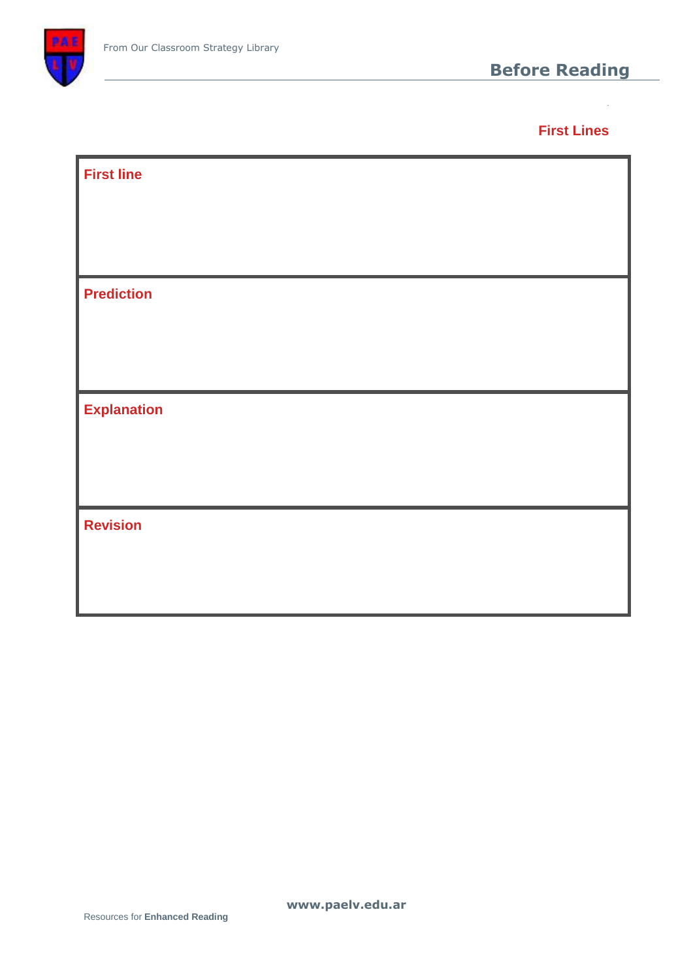

**First Lines**

**FF**

| <b>First line</b>  |  |
|--------------------|--|
|                    |  |
|                    |  |
| <b>Prediction</b>  |  |
|                    |  |
|                    |  |
| <b>Explanation</b> |  |
|                    |  |
|                    |  |
| <b>Revision</b>    |  |
|                    |  |
|                    |  |

**www.paelv.edu.ar**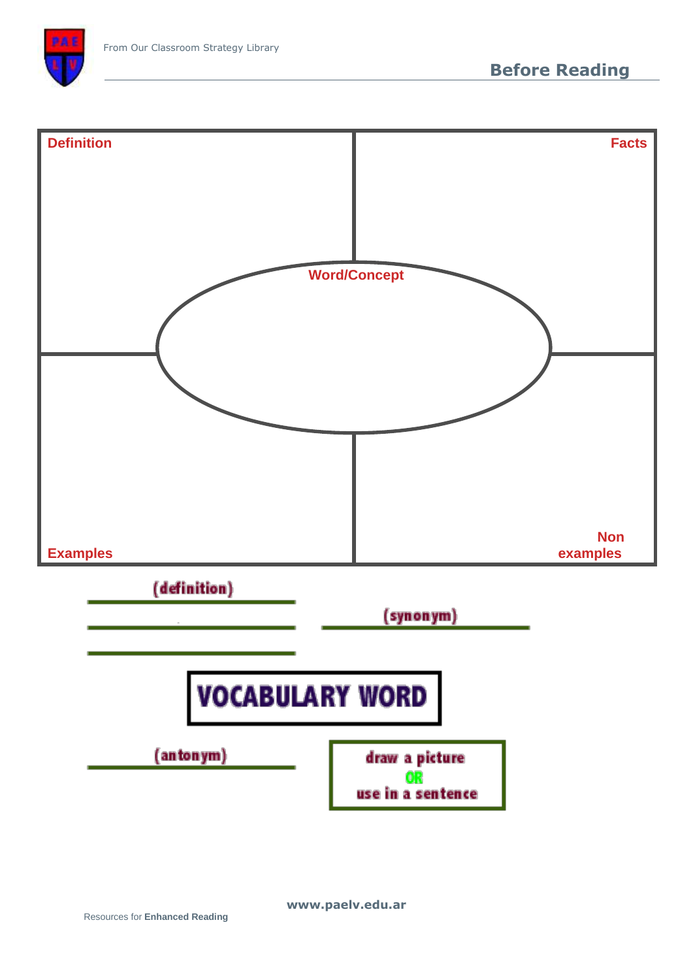

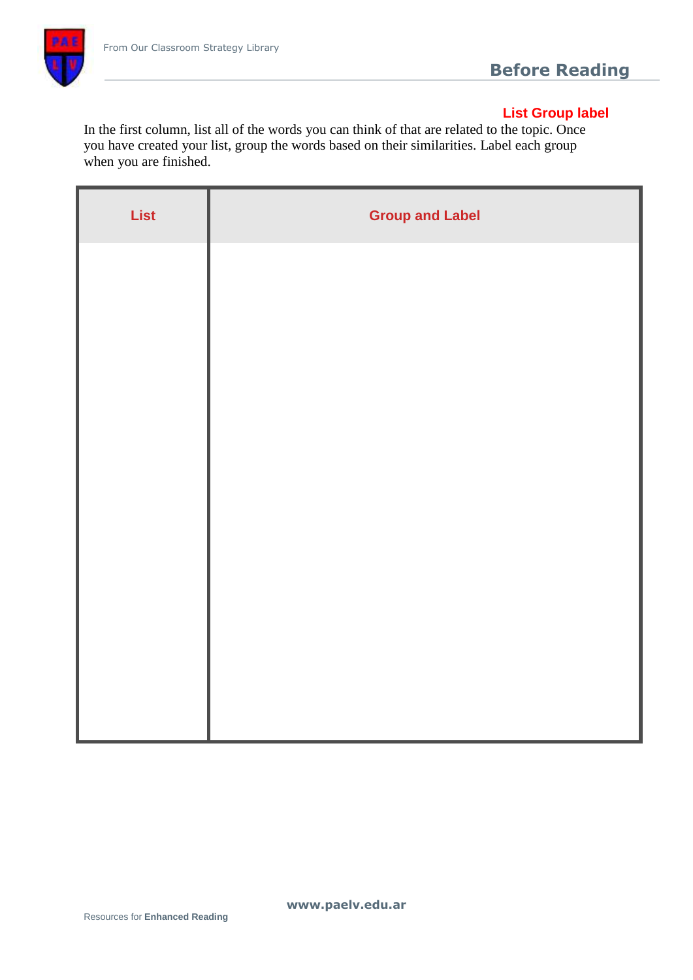

### **List Group label**

In the first column, list all of the words you can think of that are related to the topic. Once you have created your list, group the words based on their similarities. Label each group when you are finished.

| List | <b>Group and Label</b> |
|------|------------------------|
|      |                        |
|      |                        |
|      |                        |
|      |                        |
|      |                        |
|      |                        |
|      |                        |
|      |                        |
|      |                        |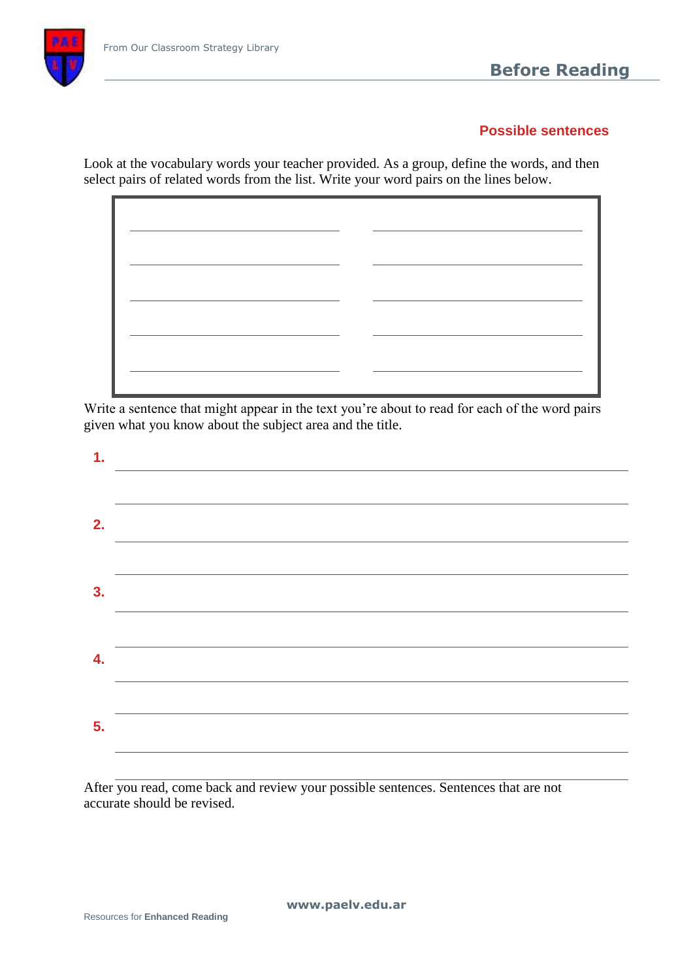# **Before Reading**

#### **Possible sentences**

Look at the vocabulary words your teacher provided. As a group, define the words, and then select pairs of related words from the list. Write your word pairs on the lines below.



Write a sentence that might appear in the text you're about to read for each of the word pairs given what you know about the subject area and the title.

| 1. |  |
|----|--|
|    |  |
| 2. |  |
|    |  |
| 3. |  |
|    |  |
| 4. |  |
|    |  |
| 5. |  |
|    |  |

After you read, come back and review your possible sentences. Sentences that are not accurate should be revised.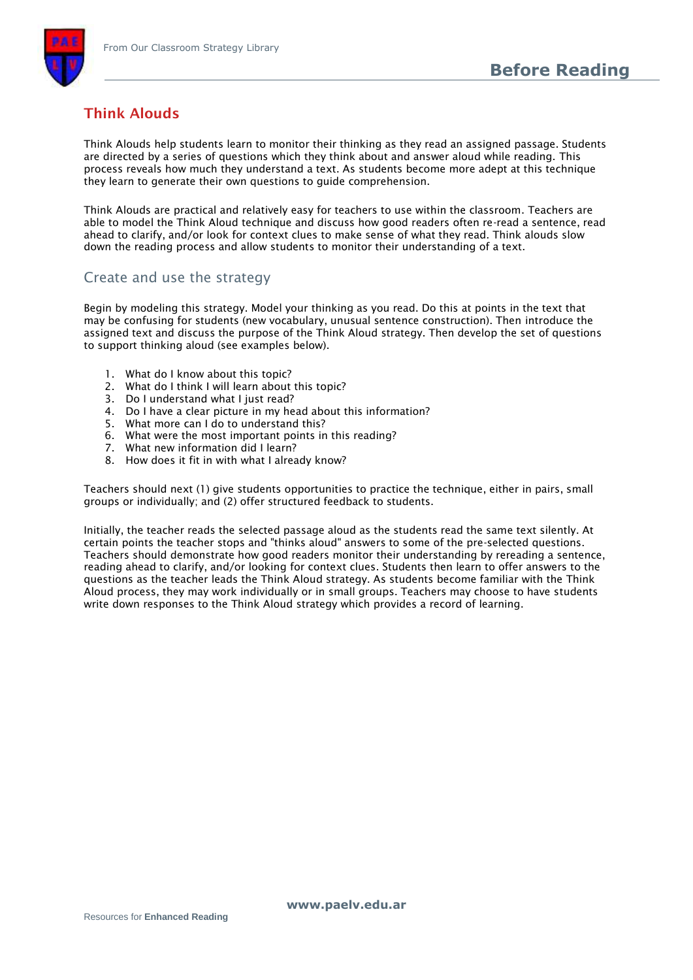

# **Think Alouds**

Think Alouds help students learn to monitor their thinking as they read an assigned passage. Students are directed by a series of questions which they think about and answer aloud while reading. This process reveals how much they understand a text. As students become more adept at this technique they learn to generate their own questions to guide comprehension.

Think Alouds are practical and relatively easy for teachers to use within the classroom. Teachers are able to model the Think Aloud technique and discuss how good readers often re-read a sentence, read ahead to clarify, and/or look for context clues to make sense of what they read. Think alouds slow down the reading process and allow students to monitor their understanding of a text.

#### Create and use the strategy

Begin by modeling this strategy. Model your thinking as you read. Do this at points in the text that may be confusing for students (new vocabulary, unusual sentence construction). Then introduce the assigned text and discuss the purpose of the Think Aloud strategy. Then develop the set of questions to support thinking aloud (see examples below).

- 1. What do I know about this topic?
- 2. What do I think I will learn about this topic?
- 3. Do I understand what I just read?
- 4. Do I have a clear picture in my head about this information?
- 5. What more can I do to understand this?
- 6. What were the most important points in this reading?
- 7. What new information did I learn?
- 8. How does it fit in with what I already know?

Teachers should next (1) give students opportunities to practice the technique, either in pairs, small groups or individually; and (2) offer structured feedback to students.

Initially, the teacher reads the selected passage aloud as the students read the same text silently. At certain points the teacher stops and "thinks aloud" answers to some of the pre-selected questions. Teachers should demonstrate how good readers monitor their understanding by rereading a sentence, reading ahead to clarify, and/or looking for context clues. Students then learn to offer answers to the questions as the teacher leads the Think Aloud strategy. As students become familiar with the Think Aloud process, they may work individually or in small groups. Teachers may choose to have students write down responses to the Think Aloud strategy which provides a record of learning.